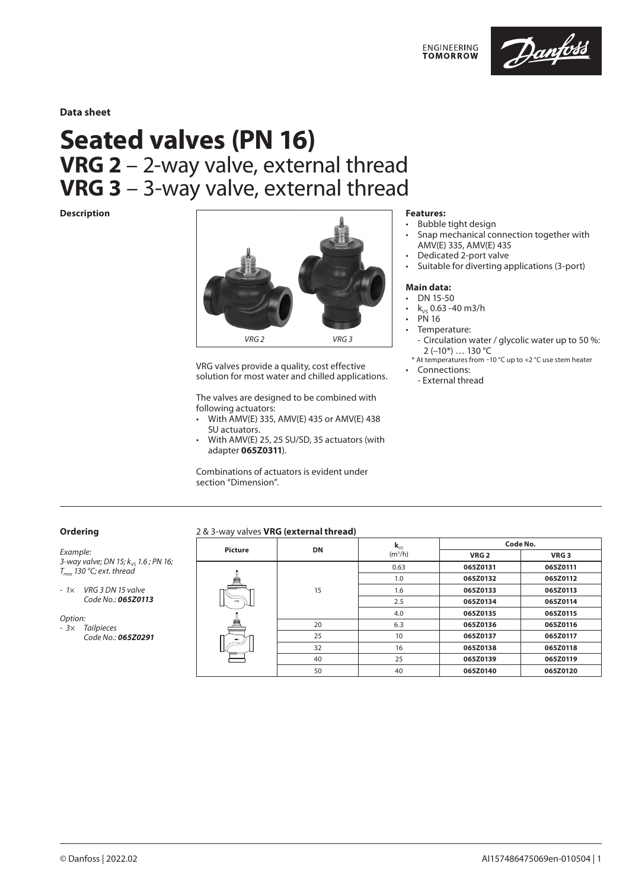

**Data sheet**

# **Seated valves (PN 16) VRG 2** – 2-way valve, external thread **VRG 3** – 3-way valve, external thread

### **Description**



VRG valves provide a quality, cost effective solution for most water and chilled applications.

The valves are designed to be combined with following actuators:

- With AMV(E) 335, AMV(E) 435 or AMV(E) 438 SU actuators.
- With AMV(E) 25, 25 SU/SD, 35 actuators (with adapter **065Z0311**).

Combinations of actuators is evident under section "Dimension".

### **Features:**

- Bubble tight design
- Snap mechanical connection together with AMV(E) 335, AMV(E) 435
- Dedicated 2-port valve
- Suitable for diverting applications (3-port)

### **Main data:**

- DN 15-50
- $k_{vs}$  0.63 -40 m3/h
- PN 16
- Temperature:
- Circulation water / glycolic water up to 50 %: 2 (–10\*) … 130 °C
- \* At temperatures from –10 °C up to +2 °C use stem heater • Connections:
- External thread

# **Ordering**

*Example: 3-way valve; DN 15; k<sub>vs</sub> 1.6 ; PN 16; Tmax 130 °C; ext. thread*

*- 1× VRG 3 DN 15 valve Code No.: 065Z0113*

*Option: - 3× Tailpieces Code No.: 065Z0291*

### 2 & 3-way valves **VRG (external thread)**

| <b>Picture</b> |    | $\mathbf{k}_{\nu s}$             | Code No. |                  |  |  |  |
|----------------|----|----------------------------------|----------|------------------|--|--|--|
|                |    | <b>DN</b><br>(m <sup>3</sup> /h) |          | VRG <sub>3</sub> |  |  |  |
| $\Rightarrow$  | 15 | 0.63                             | 065Z0131 | 065Z0111         |  |  |  |
|                |    | 1.0                              | 065Z0132 | 065Z0112         |  |  |  |
|                |    | 1.6                              | 065Z0133 | 065Z0113         |  |  |  |
|                |    | 2.5                              | 065Z0134 | 065Z0114         |  |  |  |
|                |    | 4.0                              | 065Z0135 | 065Z0115         |  |  |  |
|                | 20 | 6.3                              | 065Z0136 | 065Z0116         |  |  |  |
|                | 25 | 10                               | 065Z0137 | 065Z0117         |  |  |  |
|                | 32 | 16                               | 065Z0138 | 065Z0118         |  |  |  |
|                | 40 | 25                               | 065Z0139 | 065Z0119         |  |  |  |
|                | 50 | 40                               | 065Z0140 | 065Z0120         |  |  |  |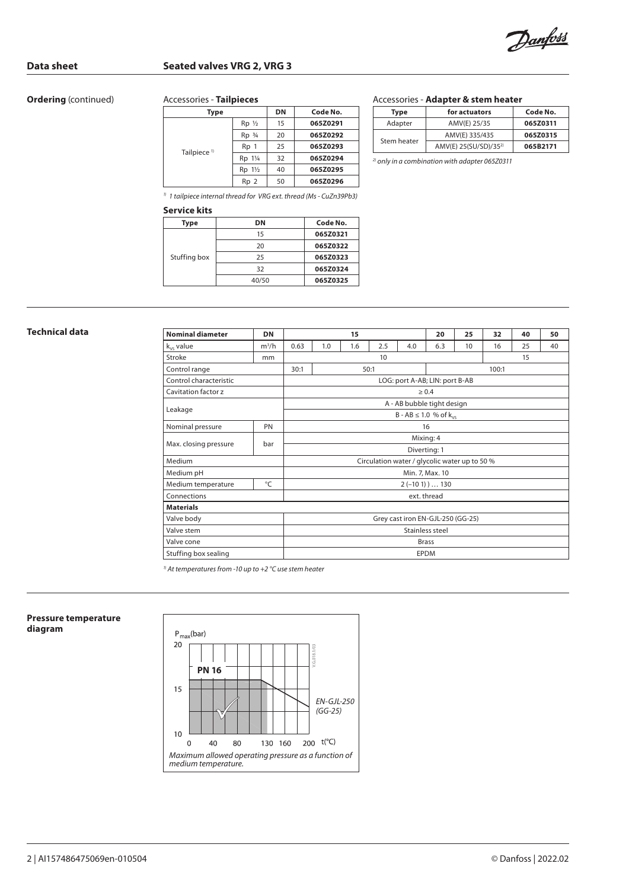Danfoss

# **Data sheet Seated valves VRG 2, VRG 3**

# **Ordering** (continued)

### Accessories - **Tailpieces**

| Type                    |                    | <b>DN</b> | Code No. |
|-------------------------|--------------------|-----------|----------|
|                         | $Rp$ $\frac{1}{2}$ | 15        | 065Z0291 |
|                         | $Rp$ $\frac{3}{4}$ | 20        | 065Z0292 |
|                         | Rp 1               | 25        | 065Z0293 |
| Tailpiece <sup>1)</sup> | Rp 11/4            | 32        | 065Z0294 |
|                         | Rp 1½              | 40        | 065Z0295 |
|                         | Rp <sub>2</sub>    | 50        | 065Z0296 |

### Accessories - **Adapter & stem heater**

| Type        | for actuators                     | Code No. |  |  |
|-------------|-----------------------------------|----------|--|--|
| Adapter     | AMV(E) 25/35                      | 065Z0311 |  |  |
| Stem heater | AMV(E) 335/435                    | 065Z0315 |  |  |
|             | AMV(E) 25(SU/SD)/35 <sup>2)</sup> | 065B2171 |  |  |

*2) only in a combination with adapter 065Z0311*

*1) 1 tailpiece internal thread for VRG ext. thread (Ms - CuZn39Pb3)*

# **Service kits**

| Type         | DΝ    | Code No. |
|--------------|-------|----------|
| Stuffing box | 15    | 065Z0321 |
|              | 20    | 065Z0322 |
|              | 25    | 065Z0323 |
|              | 32    | 065Z0324 |
|              | 40/50 | 065Z0325 |

| Technical data | <b>Nominal diameter</b> | <b>DN</b>       | 15                                            |     |     |     | 20  | 25  | 32    | 40 | 50 |    |
|----------------|-------------------------|-----------------|-----------------------------------------------|-----|-----|-----|-----|-----|-------|----|----|----|
|                | $k_{vs}$ value          | $m^3/h$         | 0.63                                          | 1.0 | 1.6 | 2.5 | 4.0 | 6.3 | 10    | 16 | 25 | 40 |
|                | Stroke                  | mm              | 10                                            |     |     |     |     |     | 15    |    |    |    |
|                | Control range           |                 | 30:1<br>50:1                                  |     |     |     |     |     | 100:1 |    |    |    |
|                | Control characteristic  |                 | LOG: port A-AB; LIN: port B-AB                |     |     |     |     |     |       |    |    |    |
|                | Cavitation factor z     |                 | $\geq 0.4$                                    |     |     |     |     |     |       |    |    |    |
|                | Leakage                 |                 | A - AB bubble tight design                    |     |     |     |     |     |       |    |    |    |
|                |                         |                 | $B - AB \le 1.0$ % of $k_{vs}$                |     |     |     |     |     |       |    |    |    |
|                | Nominal pressure        | PN              |                                               |     |     |     |     | 16  |       |    |    |    |
|                | Max. closing pressure   | bar             | Mixing: 4                                     |     |     |     |     |     |       |    |    |    |
|                |                         |                 | Diverting: 1                                  |     |     |     |     |     |       |    |    |    |
|                | Medium                  |                 | Circulation water / glycolic water up to 50 % |     |     |     |     |     |       |    |    |    |
|                | Medium pH               | Min. 7, Max. 10 |                                               |     |     |     |     |     |       |    |    |    |
|                | Medium temperature      | $^{\circ}$ C    | $2(-101)$ 130                                 |     |     |     |     |     |       |    |    |    |
|                | Connections             | ext. thread     |                                               |     |     |     |     |     |       |    |    |    |
|                | <b>Materials</b>        |                 |                                               |     |     |     |     |     |       |    |    |    |
|                | Valve body              |                 | Grey cast iron EN-GJL-250 (GG-25)             |     |     |     |     |     |       |    |    |    |
|                | Valve stem              |                 | Stainless steel                               |     |     |     |     |     |       |    |    |    |
|                | Valve cone              |                 | <b>Brass</b>                                  |     |     |     |     |     |       |    |    |    |
|                | Stuffing box sealing    |                 | <b>EPDM</b>                                   |     |     |     |     |     |       |    |    |    |

*1) At temperatures from -10 up to +2 °C use stem heater*

### **Pressure temperature diagram**

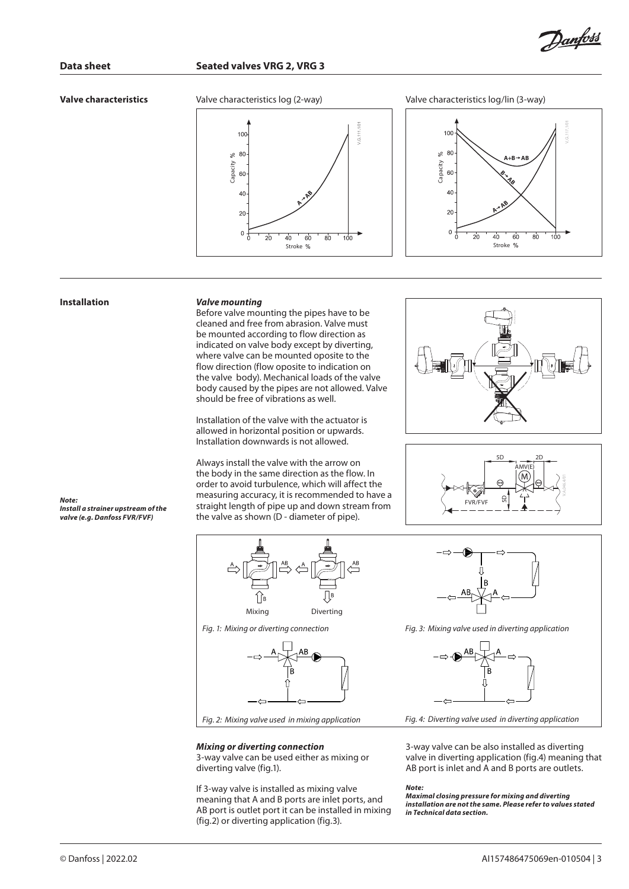

### **Valve characteristics**

100 80

 $\approx$ 





### **Installation** *Valve mounting*

**Fig. 2:** *Mixing of diversion in the same of the same of the same of the same of the same of the same of the same of the same of the computer of the computer of the computer of the computer of the property of the propert* Before valve mounting the pipes have to be cleaned and free from abrasion. Valve must be mounted according to flow direction as indicated on valve body except by diverting, where valve can be mounted oposite to the flow direction (flow oposite to indication on the valve body). Mechanical loads of the valve body caused by the pipes are not allowed. Valve should be free of vibrations as well.

Stroke %

**AAB**

Installation of the valve with the actuator is allowed in horizontal position or upwards. Installation downwards is not allowed.

Always install the valve with the arrow on the body in the same direction as the flow. In order to avoid turbulence, which will affect the measuring accuracy, it is recommended to have a straight length of pipe up and down stream from the valve as shown (D - diameter of pipe).





*Note: Install a strainer upstream of the valve (e.g. Danfoss FVR/FVF)*



*Fig. 1: Mixing or diverting connection*



### *Mixing or diverting connection*

3-way valve can be used either as mixing or diverting valve (fig.1).

If 3-way valve is installed as mixing valve meaning that A and B ports are inlet ports, and AB port is outlet port it can be installed in mixing (fig.2) or diverting application (fig.3).



*Fig. 3: Mixing valve used in diverting application*



*Fig. 4: Diverting valve used in diverting application*

3-way valve can be also installed as diverting valve in diverting application (fig.4) meaning that AB port is inlet and A and B ports are outlets.

### *Note:*

*Maximal closing pressure for mixing and diverting installation are not the same. Please refer to values stated in Technical data section.*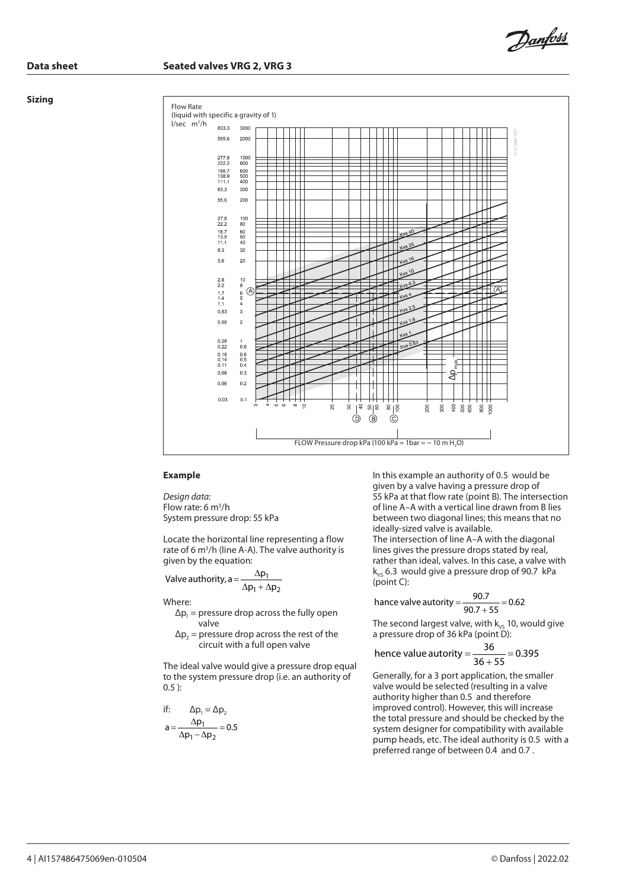### **Data sheet Seated valves VRG 2, VRG 3**

### **Sizing**



### **Example**

*Design data:* Flow rate: 6 m<sup>3</sup>/h System pressure drop: 55 kPa

Locate the horizontal line representing a flow rate of 6 m<sup>3</sup>/h (line A-A). The valve authority is given by the equation:

$$
Value~authority, a = \frac{\Delta p_1}{\Delta p_1 + \Delta p_2}
$$

Where:

- $\Delta p_1$  = pressure drop across the fully open valve
- $\Delta p_2$  = pressure drop across the rest of the circuit with a full open valve

The ideal valve would give a pressure drop equal to the system pressure drop (i.e. an authority of 0.5 ):

if: 
$$
\Delta p_1 = \Delta p_2
$$
  
\n
$$
a = \frac{\Delta p_1}{\Delta p_1 - \Delta p_2} = 0.5
$$

In this example an authority of 0.5 would be given by a valve having a pressure drop of 55 kPa at that flow rate (point B). The intersection of line A–A with a vertical line drawn from B lies between two diagonal lines; this means that no ideally-sized valve is available. The intersection of line A–A with the diagonal lines gives the pressure drops stated by real, rather than ideal, valves. In this case, a valve with  $k_{vs}$  6.3 would give a pressure drop of 90.7 kPa (point C):

Danfoss

hance value authority = 
$$
\frac{90.7}{90.7 + 55} = 0.62
$$

The second largest valve, with  $k_{vs}$  10, would give a pressure drop of 36 kPa (point D):

hence value authority = 
$$
\frac{36}{36+55} = 0.395
$$

Generally, for a 3 port application, the smaller valve would be selected (resulting in a valve authority higher than 0.5 and therefore improved control). However, this will increase the total pressure and should be checked by the system designer for compatibility with available pump heads, etc. The ideal authority is 0.5 with a preferred range of between 0.4 and 0.7 .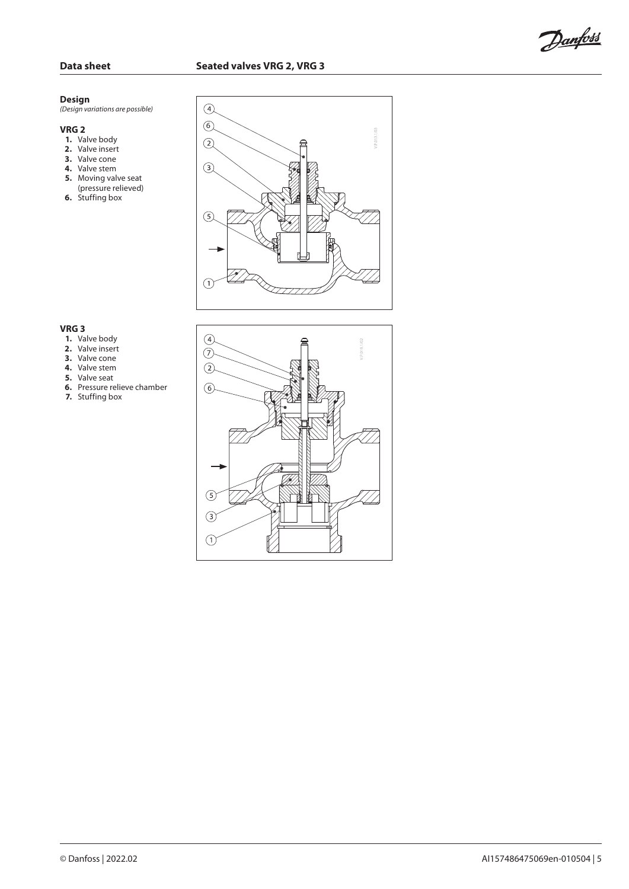Danfoss

### **Design**

*(Design variations are possible)*

### **VRG 2**

- **1.** Valve body
- **2.** Valve insert
- **3.** Valve cone
- **4.** Valve stem
- **5.** Moving valve seat (pressure relieved)
- **6.** Stuffing box



# **VRG 3**

- **1.** Valve body
- **2.** Valve insert
- **3.** Valve cone
- **4.** Valve stem
- **5.** Valve seat
- **6.** Pressure relieve chamber
- **7.** Stuffing box

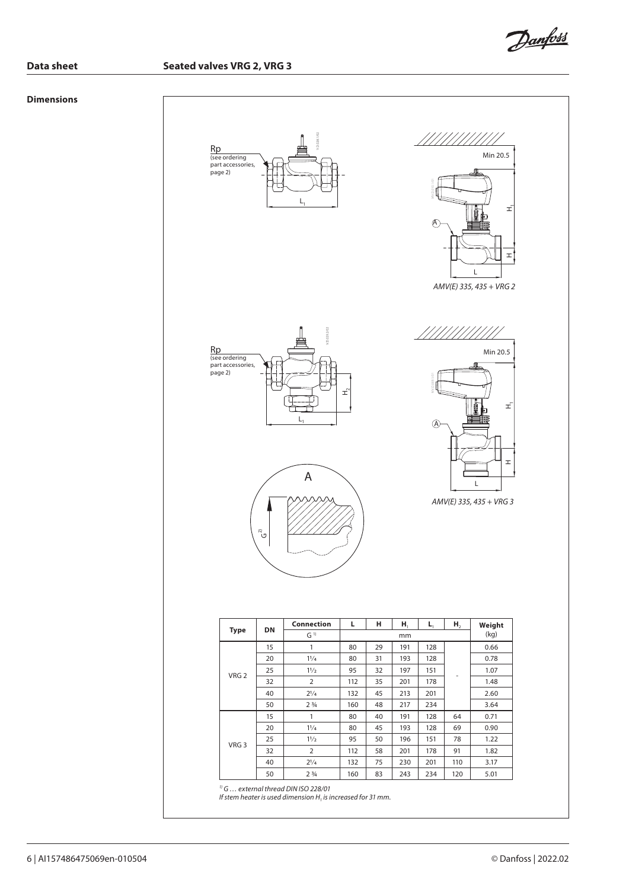Danfoss

**Data sheet Seated valves VRG 2, VRG 3**

# **Dimensions**

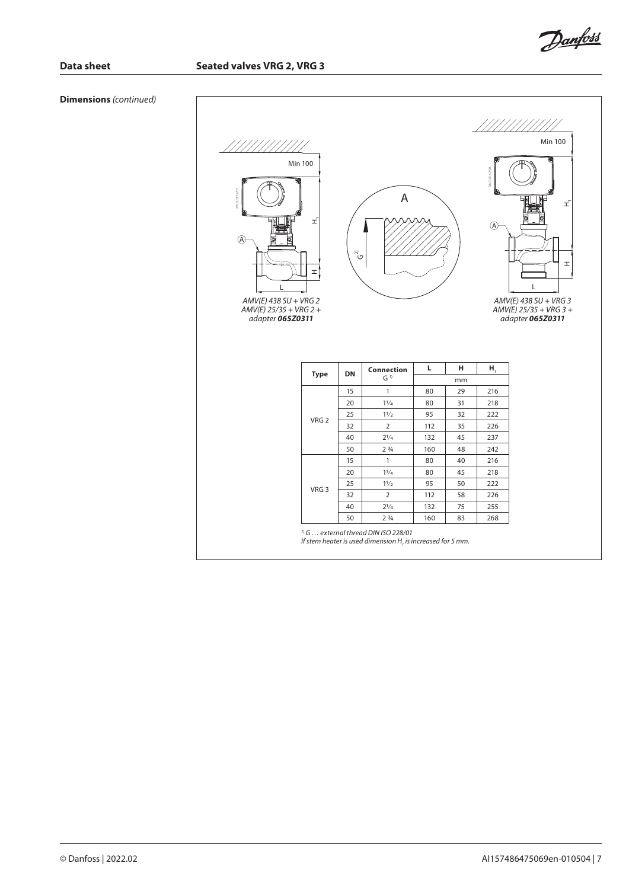

**Dimensions** *(continued)*